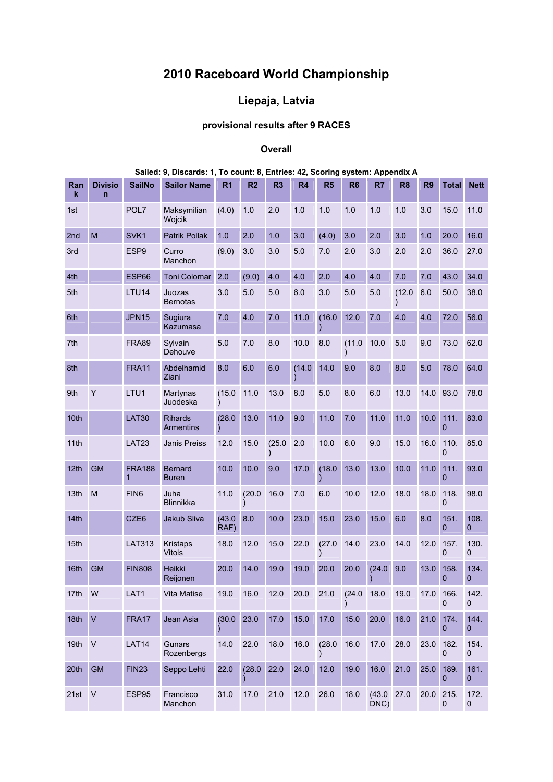## **2010 Raceboard World Championship**

## **Liepaja, Latvia**

## **provisional results after 9 RACES**

## **Overall**

| Ran<br>k         | <b>Divisio</b><br>$\overline{n}$ | <b>SailNo</b>      | <b>Sailor Name</b>                 | R <sub>1</sub> | R <sub>2</sub> | R <sub>3</sub> | R4     | R <sub>5</sub> | R <sub>6</sub> | R <sub>7</sub>    | R <sub>8</sub> | R <sub>9</sub> | <b>Total</b>           | <b>Nett</b>            |
|------------------|----------------------------------|--------------------|------------------------------------|----------------|----------------|----------------|--------|----------------|----------------|-------------------|----------------|----------------|------------------------|------------------------|
| 1st              |                                  | POL7               | Maksymilian<br>Wojcik              | (4.0)          | 1.0            | 2.0            | 1.0    | 1.0            | 1.0            | 1.0               | 1.0            | 3.0            | 15.0                   | 11.0                   |
| 2nd              | M                                | SVK1               | <b>Patrik Pollak</b>               | 1.0            | 2.0            | 1.0            | 3.0    | (4.0)          | 3.0            | 2.0               | 3.0            | 1.0            | 20.0                   | 16.0                   |
| 3rd              |                                  | ESP <sub>9</sub>   | Curro<br>Manchon                   | (9.0)          | 3.0            | 3.0            | 5.0    | 7.0            | 2.0            | 3.0               | 2.0            | 2.0            | 36.0                   | 27.0                   |
| 4th              |                                  | <b>ESP66</b>       | <b>Toni Colomar</b>                | 2.0            | (9.0)          | 4.0            | 4.0    | 2.0            | 4.0            | 4.0               | 7.0            | 7.0            | 43.0                   | 34.0                   |
| 5th              |                                  | LTU14              | Juozas<br><b>Bernotas</b>          | 3.0            | 5.0            | 5.0            | 6.0    | 3.0            | 5.0            | 5.0               | (12.0)         | 6.0            | 50.0                   | 38.0                   |
| 6th              |                                  | <b>JPN15</b>       | Sugiura<br>Kazumasa                | 7.0            | 4.0            | 7.0            | 11.0   | (16.0)         | 12.0           | 7.0               | 4.0            | 4.0            | 72.0                   | 56.0                   |
| 7th              |                                  | <b>FRA89</b>       | Sylvain<br>Dehouve                 | 5.0            | 7.0            | 8.0            | 10.0   | 8.0            | (11.0)         | 10.0              | 5.0            | 9.0            | 73.0                   | 62.0                   |
| 8th              |                                  | <b>FRA11</b>       | Abdelhamid<br>Ziani                | 8.0            | 6.0            | 6.0            | (14.0) | 14.0           | 9.0            | 8.0               | 8.0            | 5.0            | 78.0                   | 64.0                   |
| 9th              | Y                                | LTU1               | Martynas<br>Juodeska               | (15.0)         | 11.0           | 13.0           | 8.0    | 5.0            | 8.0            | 6.0               | 13.0           | 14.0           | 93.0                   | 78.0                   |
| 10th             |                                  | <b>LAT30</b>       | <b>Rihards</b><br><b>Armentins</b> | (28.0)         | 13.0           | 11.0           | 9.0    | 11.0           | 7.0            | 11.0              | 11.0           | 10.0           | 111.<br>$\overline{0}$ | 83.0                   |
| 11th             |                                  | LAT23              | <b>Janis Preiss</b>                | 12.0           | 15.0           | (25.0)         | 2.0    | 10.0           | 6.0            | 9.0               | 15.0           | 16.0           | 110.<br>0              | 85.0                   |
| 12th             | <b>GM</b>                        | <b>FRA188</b><br>1 | <b>Bernard</b><br><b>Buren</b>     | 10.0           | 10.0           | 9.0            | 17.0   | (18.0)         | 13.0           | 13.0              | 10.0           | 11.0           | 111.<br>$\Omega$       | 93.0                   |
| 13th             | M                                | FIN <sub>6</sub>   | Juha<br>Blinnikka                  | 11.0           | (20.0)         | 16.0           | 7.0    | 6.0            | 10.0           | 12.0              | 18.0           | 18.0           | 118.<br>$\Omega$       | 98.0                   |
| 14th             |                                  | CZE6               | <b>Jakub Sliva</b>                 | (43.0)<br>RAF) | 8.0            | 10.0           | 23.0   | 15.0           | 23.0           | 15.0              | 6.0            | 8.0            | 151.<br>$\Omega$       | 108.<br>0              |
| 15th             |                                  | <b>LAT313</b>      | <b>Kristaps</b><br><b>Vitols</b>   | 18.0           | 12.0           | 15.0           | 22.0   | (27.0)         | 14.0           | 23.0              | 14.0           | 12.0           | 157.<br>0              | 130.<br>0              |
| 16th             | <b>GM</b>                        | <b>FIN808</b>      | Heikki<br>Reijonen                 | 20.0           | 14.0           | 19.0           | 19.0   | 20.0           | 20.0           | (24.0)            | 9.0            | 13.0           | 158.<br>$\Omega$       | 134.<br>$\overline{0}$ |
| 17th             | W                                | LAT1               | Vita Matise                        | 19.0           | 16.0           | 12.0           | 20.0   | 21.0           | (24.0)         | 18.0              | 19.0           | 17.0           | 166.<br>0              | 142.<br>0              |
| 18th             | $\overline{\mathsf{v}}$          | FRA17              | Jean Asia                          | (30.0)         | 23.0           | 17.0           | 15.0   | 17.0           | 15.0           | 20.0              | 16.0           | 21.0           | 174.<br>0              | 144.<br>0              |
| 19 <sub>th</sub> | $\vee$                           | LAT14              | Gunars<br>Rozenbergs               | 14.0           | 22.0           | 18.0           | 16.0   | (28.0)         | 16.0           | 17.0              | 28.0           | 23.0           | 182.<br>0              | 154.<br>0              |
| 20th             | <b>GM</b>                        | <b>FIN23</b>       | Seppo Lehti                        | 22.0           | (28.0)         | 22.0           | 24.0   | 12.0           | 19.0           | 16.0              | 21.0           | 25.0           | 189.<br>0              | 161.<br>0              |
| 21st             | $\sf V$                          | ESP95              | Francisco<br>Manchon               | 31.0           | 17.0           | 21.0           | 12.0   | 26.0           | 18.0           | (43.0)<br>$DNC$ ) | 27.0           | 20.0           | 215.<br>0              | 172.<br>0              |

**Sailed: 9, Discards: 1, To count: 8, Entries: 42, Scoring system: Appendix A**